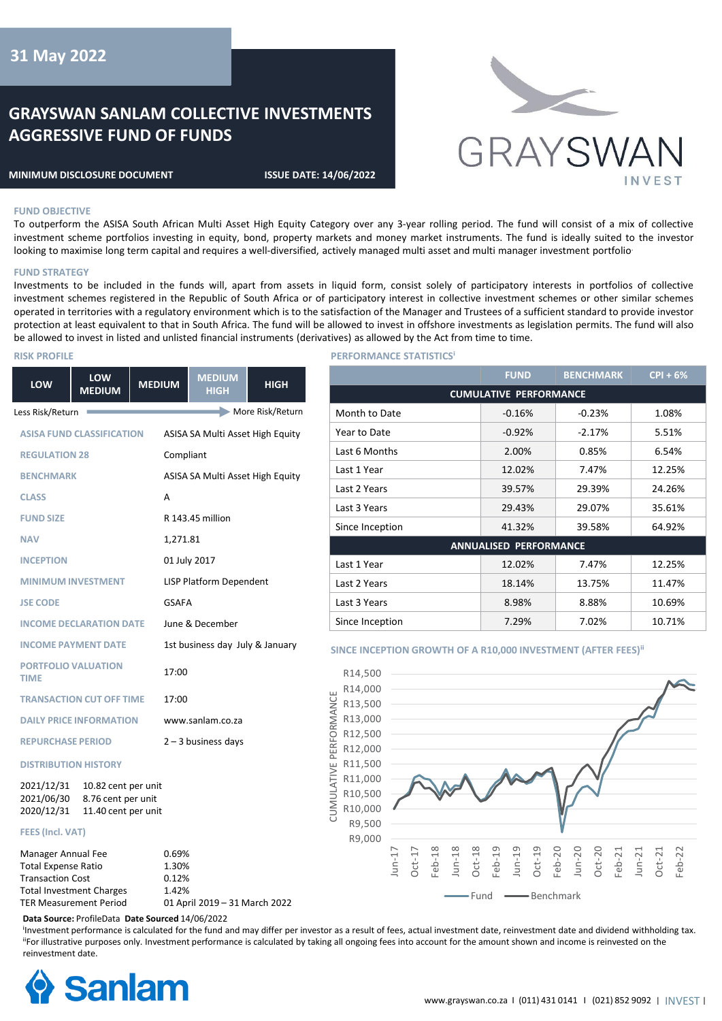# **31 May 2022**

## **GRAYSWAN SANLAM COLLECTIVE INVESTMENTS AGGRESSIVE FUND OF FUNDS**

#### **MINIMUM DISCLOSURE DOCUMENT ISSUE DATE: 14/06/2022**



#### **FUND OBJECTIVE**

To outperform the ASISA South African Multi Asset High Equity Category over any 3-year rolling period. The fund will consist of a mix of collective investment scheme portfolios investing in equity, bond, property markets and money market instruments. The fund is ideally suited to the investor looking to maximise long term capital and requires a well-diversified, actively managed multi asset and multi manager investment portfolio.

#### **FUND STRATEGY**

Investments to be included in the funds will, apart from assets in liquid form, consist solely of participatory interests in portfolios of collective investment schemes registered in the Republic of South Africa or of participatory interest in collective investment schemes or other similar schemes operated in territories with a regulatory environment which is to the satisfaction of the Manager and Trustees of a sufficient standard to provide investor protection at least equivalent to that in South Africa. The fund will be allowed to invest in offshore investments as legislation permits. The fund will also be allowed to invest in listed and unlisted financial instruments (derivatives) as allowed by the Act from time to time.

#### **RISK PROFILE**

| LOW                                              | <b>LOW</b><br><b>MEDIUM</b>                                      | <b>MEDIUM</b> | <b>MEDIUM</b><br><b>HIGH</b>     | <b>HIGH</b>      |
|--------------------------------------------------|------------------------------------------------------------------|---------------|----------------------------------|------------------|
| Less Risk/Return                                 |                                                                  |               |                                  | More Risk/Return |
| <b>ASISA FUND CLASSIFICATION</b>                 |                                                                  |               | ASISA SA Multi Asset High Equity |                  |
| <b>REGULATION 28</b>                             |                                                                  |               | Compliant                        |                  |
| <b>BENCHMARK</b>                                 |                                                                  |               | ASISA SA Multi Asset High Equity |                  |
| <b>CLASS</b>                                     |                                                                  | A             |                                  |                  |
| <b>FUND SIZE</b>                                 |                                                                  |               | R 143.45 million                 |                  |
| <b>NAV</b>                                       |                                                                  | 1,271.81      |                                  |                  |
| <b>INCEPTION</b>                                 |                                                                  |               | 01 July 2017                     |                  |
|                                                  | <b>MINIMUM INVESTMENT</b>                                        |               | LISP Platform Dependent          |                  |
| <b>JSE CODE</b>                                  |                                                                  | GSAFA         |                                  |                  |
|                                                  | <b>INCOME DECLARATION DATE</b>                                   |               | June & December                  |                  |
|                                                  | <b>INCOME PAYMENT DATE</b>                                       |               | 1st business day July & January  |                  |
| <b>TIME</b>                                      | <b>PORTFOLIO VALUATION</b>                                       | 17:00         |                                  |                  |
|                                                  | <b>TRANSACTION CUT OFF TIME</b>                                  | 17:00         |                                  |                  |
| <b>DAILY PRICE INFORMATION</b>                   |                                                                  |               | www.sanlam.co.za                 |                  |
| <b>REPURCHASE PERIOD</b>                         |                                                                  |               | $2 - 3$ business days            |                  |
|                                                  | <b>DISTRIBUTION HISTORY</b>                                      |               |                                  |                  |
| 2021/12/31<br>2021/06/30<br>2020/12/31           | 10.82 cent per unit<br>8.76 cent per unit<br>11.40 cent per unit |               |                                  |                  |
| <b>FEES (Incl. VAT)</b>                          |                                                                  |               |                                  |                  |
| Manager Annual Fee<br><b>Total Expense Ratio</b> |                                                                  |               | 0.69%<br>1.30%                   |                  |

0.12% 1.42%

01 April 2019 – 31 March 2022

#### **PERFORMANCE STATISTICSⁱ**

|                               | <b>FUND</b> | <b>BENCHMARK</b> | $CPI + 6%$ |  |
|-------------------------------|-------------|------------------|------------|--|
| <b>CUMULATIVE PERFORMANCE</b> |             |                  |            |  |
| Month to Date                 | $-0.16%$    | $-0.23%$         | 1.08%      |  |
| Year to Date                  | $-0.92%$    | $-2.17%$         | 5.51%      |  |
| Last 6 Months                 | 2.00%       | 0.85%            | 6.54%      |  |
| Last 1 Year                   | 12.02%      | 7.47%            | 12.25%     |  |
| Last 2 Years                  | 39.57%      | 29.39%           | 24.26%     |  |
| Last 3 Years                  | 29.43%      | 29.07%           | 35.61%     |  |
| Since Inception               | 41.32%      | 39.58%           | 64.92%     |  |
| <b>ANNUALISED PERFORMANCE</b> |             |                  |            |  |
| Last 1 Year                   | 12.02%      | 7.47%            | 12.25%     |  |
| Last 2 Years                  | 18.14%      | 13.75%           | 11.47%     |  |
| Last 3 Years                  | 8.98%       | 8.88%            | 10.69%     |  |
| Since Inception               | 7.29%       | 7.02%            | 10.71%     |  |

#### **SINCE INCEPTION GROWTH OF A R10,000 INVESTMENT (AFTER FEES)<sup>ii</sup>**



**Data Source:** ProfileData **Date Sourced** 14/06/2022

<sup>I</sup>Investment performance is calculated for the fund and may differ per investor as a result of fees, actual investment date, reinvestment date and dividend withholding tax. "For illustrative purposes only. Investment performance is calculated by taking all ongoing fees into account for the amount shown and income is reinvested on the reinvestment date.

CUMULATIVE PERFORMANCE



Transaction Cost Total Investment Charges TER Measurement Period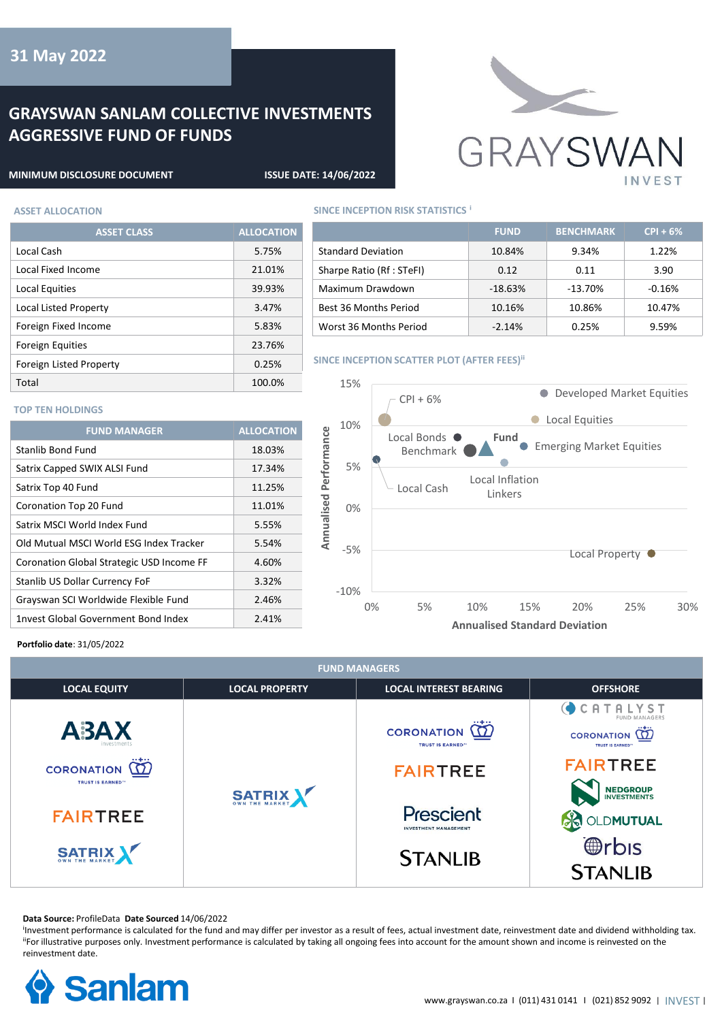# **GRAYSWAN SANLAM COLLECTIVE INVESTMENTS AGGRESSIVE FUND OF FUNDS**

**ASSET CLASS ALLOCATION**

Local Cash 5.75% Local Fixed Income 21.01% Local Equities 39.93% Local Listed Property 3.47% Foreign Fixed Income 5.83% Foreign Equities 23.76% Foreign Listed Property **COMENT CONTROLLY** 0.25% Total 100.0%



### **MINIMUM DISCLOSURE DOCUMENT ISSUE DATE: 14/06/2022**

## **ASSET ALLOCATION SINCE INCEPTION RISK STATISTICS i**

|                           | <b>FUND</b> | <b>BENCHMARK</b> | $CPI + 6%$ |
|---------------------------|-------------|------------------|------------|
| <b>Standard Deviation</b> | 10.84%      | 9.34%            | 1.22%      |
| Sharpe Ratio (Rf: STeFI)  | 0.12        | 0.11             | 3.90       |
| Maximum Drawdown          | $-18.63%$   | $-13.70%$        | $-0.16%$   |
| Best 36 Months Period     | 10.16%      | 10.86%           | 10.47%     |
| Worst 36 Months Period    | $-2.14%$    | 0.25%            | 9.59%      |

#### **SINCE INCEPTION SCATTER PLOT (AFTER FEES)<sup>ii</sup>**



### **TOP TEN HOLDINGS**

| <b>FUND MANAGER</b>                       | <b>ALLOCATION</b> |
|-------------------------------------------|-------------------|
| Stanlib Bond Fund                         | 18.03%            |
| Satrix Capped SWIX ALSI Fund              | 17.34%            |
| Satrix Top 40 Fund                        | 11.25%            |
| Coronation Top 20 Fund                    | 11.01%            |
| Satrix MSCI World Index Fund              | 5.55%             |
| Old Mutual MSCI World ESG Index Tracker   | 5.54%             |
| Coronation Global Strategic USD Income FF | 4.60%             |
| Stanlib US Dollar Currency FoF            | 3.32%             |
| Grayswan SCI Worldwide Flexible Fund      | 2.46%             |
| 1nvest Global Government Bond Index       | 2.41%             |

### **Portfolio date**: 31/05/2022

| <b>FUND MANAGERS</b>                                                                     |                       |                                                                                                                                             |                                                                                                                                                                                                                 |  |  |
|------------------------------------------------------------------------------------------|-----------------------|---------------------------------------------------------------------------------------------------------------------------------------------|-----------------------------------------------------------------------------------------------------------------------------------------------------------------------------------------------------------------|--|--|
| <b>LOCAL EQUITY</b>                                                                      | <b>LOCAL PROPERTY</b> | <b>LOCAL INTEREST BEARING</b>                                                                                                               | <b>OFFSHORE</b>                                                                                                                                                                                                 |  |  |
| A3AX<br><b>CORONATION</b><br><b>TRUST IS EARNED™</b><br><b>FAIRTREE</b><br><b>SATRIX</b> | <b>SATRIX</b>         | <b>CORONATION</b><br><b>TRUST IS EARNED</b> <sup>19</sup><br><b>FAIRTREE</b><br>Prescient<br><b>INVESTMENT MANAGEMENT</b><br><b>STANLIB</b> | CATALYST<br>FUND MANAGERS<br>$ + $<br>CORONATION <b>12</b><br><b>TRUST IS EARNED"</b><br><b>FAIRTREE</b><br><b>NEDGROUP</b><br>INVESTMENTS<br>OLDMUTUAL<br><b><i><u></u></i></b> <i>f</i> bis<br><b>STANLIB</b> |  |  |

#### **Data Source:** ProfileData **Date Sourced** 14/06/2022

<sup>I</sup>Investment performance is calculated for the fund and may differ per investor as a result of fees, actual investment date, reinvestment date and dividend withholding tax. "For illustrative purposes only. Investment performance is calculated by taking all ongoing fees into account for the amount shown and income is reinvested on the reinvestment date.

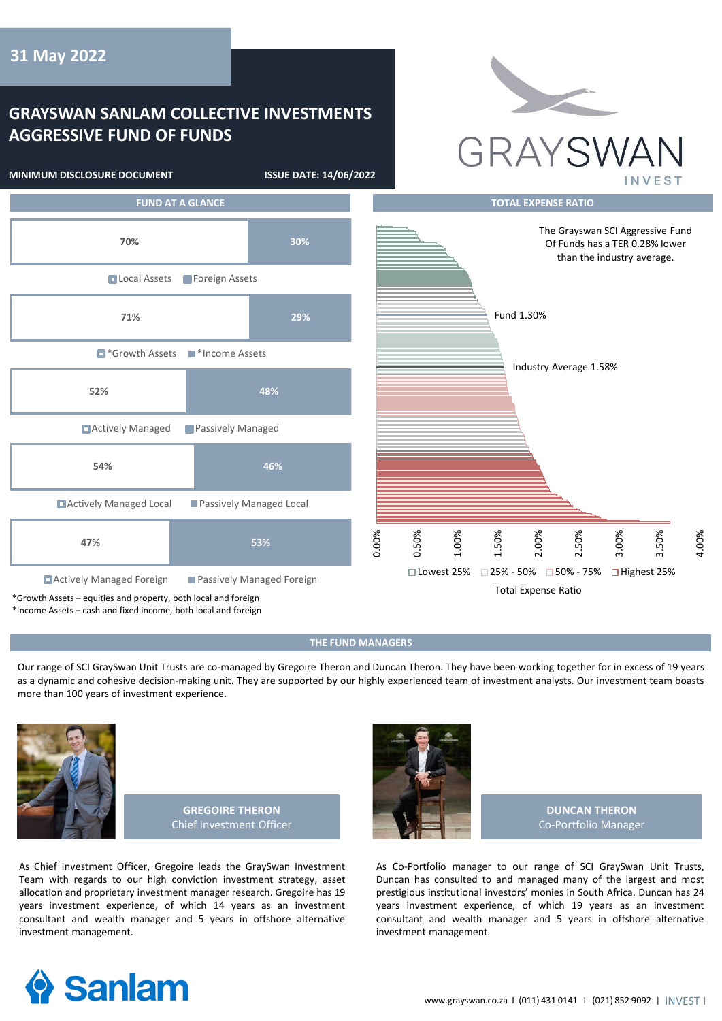## **GRAYSWAN SANLAM COLLECTIVE INVESTMENTS AGGRESSIVE FUND OF FUNDS**





## **THE FUND MANAGERS**

Our range of SCI GraySwan Unit Trusts are co-managed by Gregoire Theron and Duncan Theron. They have been working together for in excess of 19 years as a dynamic and cohesive decision-making unit. They are supported by our highly experienced team of investment analysts. Our investment team boasts more than 100 years of investment experience.



**GREGOIRE THERON** Chief Investment Officer

As Chief Investment Officer, Gregoire leads the GraySwan Investment Team with regards to our high conviction investment strategy, asset allocation and proprietary investment manager research. Gregoire has 19 years investment experience, of which 14 years as an investment consultant and wealth manager and 5 years in offshore alternative investment management.



**DUNCAN THERON** Co-Portfolio Manager

As Co-Portfolio manager to our range of SCI GraySwan Unit Trusts, Duncan has consulted to and managed many of the largest and most prestigious institutional investors' monies in South Africa. Duncan has 24 years investment experience, of which 19 years as an investment consultant and wealth manager and 5 years in offshore alternative investment management.